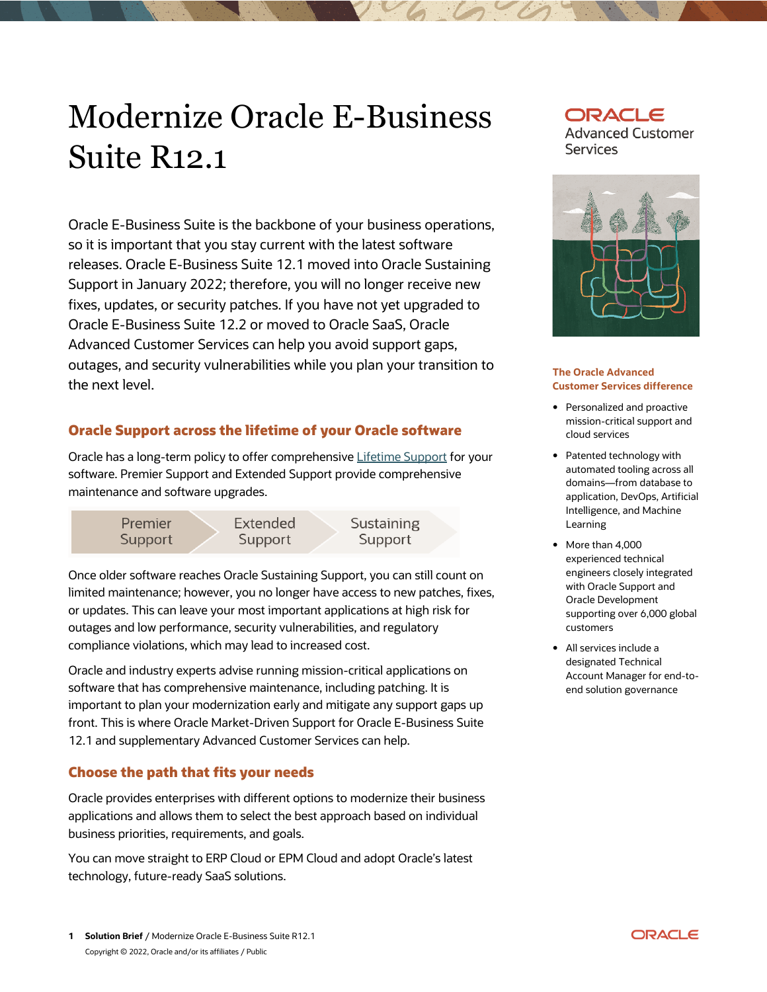# Modernize Oracle E-Business Suite R12.1

 Oracle E-Business Suite is the backbone of your business operations, so it is important that you stay current with the latest software releases. Oracle E-Business Suite 12.1 moved into Oracle Sustaining Support in January 2022; therefore, you will no longer receive new Oracle E-Business Suite 12.2 or moved to Oracle SaaS, Oracle Advanced Customer Services can help you avoid support gaps, outages, and security vulnerabilities while you plan your transition to fixes, updates, or security patches. If you have not yet upgraded to the next level.

# **Oracle Support across the lifetime of your Oracle software**

Oracle has a long-term policy to offer comprehensive **Lifetime Support** for your software. Premier Support and Extended Support provide comprehensive maintenance and software upgrades.



 Once older software reaches Oracle Sustaining Support, you can still count on or updates. This can leave your most important applications at high risk for outages and low performance, security vulnerabilities, and regulatory compliance violations, which may lead to increased cost. limited maintenance; however, you no longer have access to new patches, fixes,

 Oracle and industry experts advise running mission-critical applications on software that has comprehensive maintenance, including patching. It is important to plan your modernization early and mitigate any support gaps up front. This is where Oracle Market-Driven Support for Oracle E-Business Suite 12.1 and supplementary Advanced Customer Services can help.

# **Choose the path that fits your needs**

 Oracle provides enterprises with different options to modernize their business applications and allows them to select the best approach based on individual business priorities, requirements, and goals.

 You can move straight to ERP Cloud or EPM Cloud and adopt Oracle's latest technology, future-ready SaaS solutions.





#### **The Oracle Advanced Customer Services difference**

- mission-critical support and • Personalized and proactive cloud services
- automated tooling across all domains—from database to application, DevOps, Artificial • Patented technology with Intelligence, and Machine Learning
- • More than 4,000 experienced technical with Oracle Support and supporting over 6,000 global engineers closely integrated Oracle Development customers
- • All services include a Account Manager for end-to- end solution governance designated Technical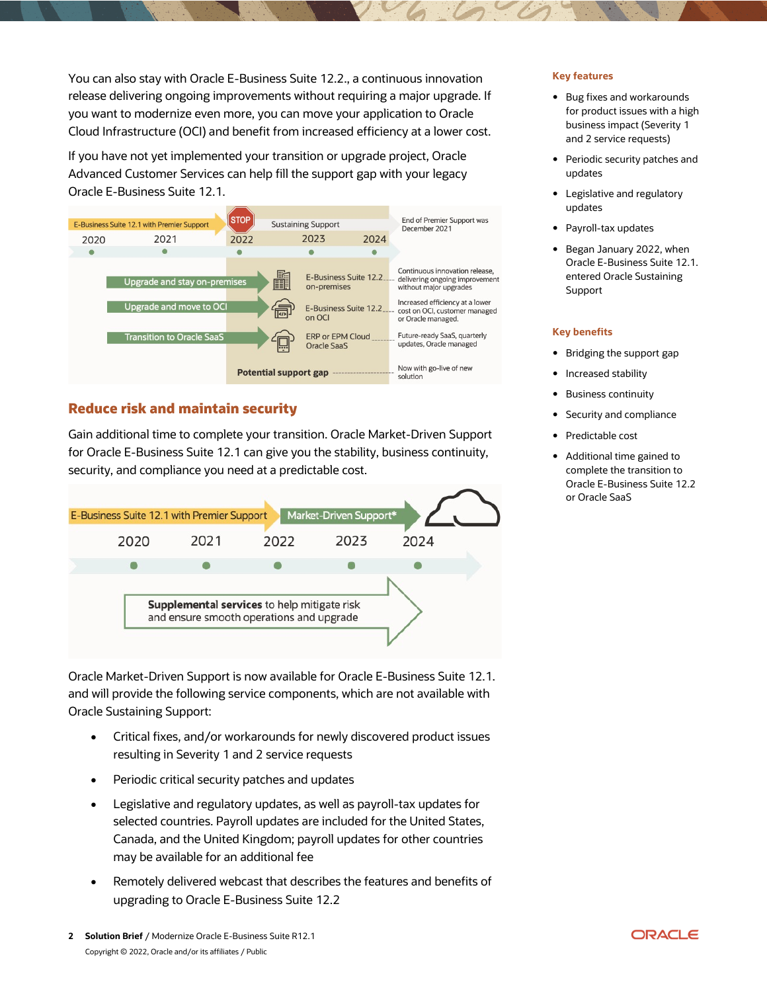You can also stay with Oracle E-Business Suite 12.2., a continuous innovation release delivering ongoing improvements without requiring a major upgrade. If you want to modernize even more, you can move your application to Oracle Cloud Infrastructure (OCI) and benefit from increased efficiency at a lower cost.

 If you have not yet implemented your transition or upgrade project, Oracle Advanced Customer Services can help fill the support gap with your legacy Oracle E-Business Suite 12.1.



# **Reduce risk and maintain security**

 Gain additional time to complete your transition. Oracle Market-Driven Support for Oracle E-Business Suite 12.1 can give you the stability, business continuity, security, and compliance you need at a predictable cost.



 Oracle Market-Driven Support is now available for Oracle E-Business Suite 12.1. and will provide the following service components, which are not available with Oracle Sustaining Support:

- • Critical fixes, and/or workarounds for newly discovered product issues resulting in Severity 1 and 2 service requests
- Periodic critical security patches and updates
- • Legislative and regulatory updates, as well as payroll-tax updates for selected countries. Payroll updates are included for the United States, Canada, and the United Kingdom; payroll updates for other countries may be available for an additional fee
- • Remotely delivered webcast that describes the features and benefits of upgrading to Oracle E-Business Suite 12.2

#### **Key features**

- • Bug fixes and workarounds for product issues with a high business impact (Severity 1 and 2 service requests)
- • Periodic security patches and updates
- Legislative and regulatory updates
- Payroll-tax updates
- • Began January 2022, when Oracle E-Business Suite 12.1. entered Oracle Sustaining Support

#### **Key benefits**

- Bridging the support gap
- Increased stability
- Business continuity
- Security and compliance
- Predictable cost
- • Additional time gained to complete the transition to Oracle E-Business Suite 12.2 or Oracle SaaS